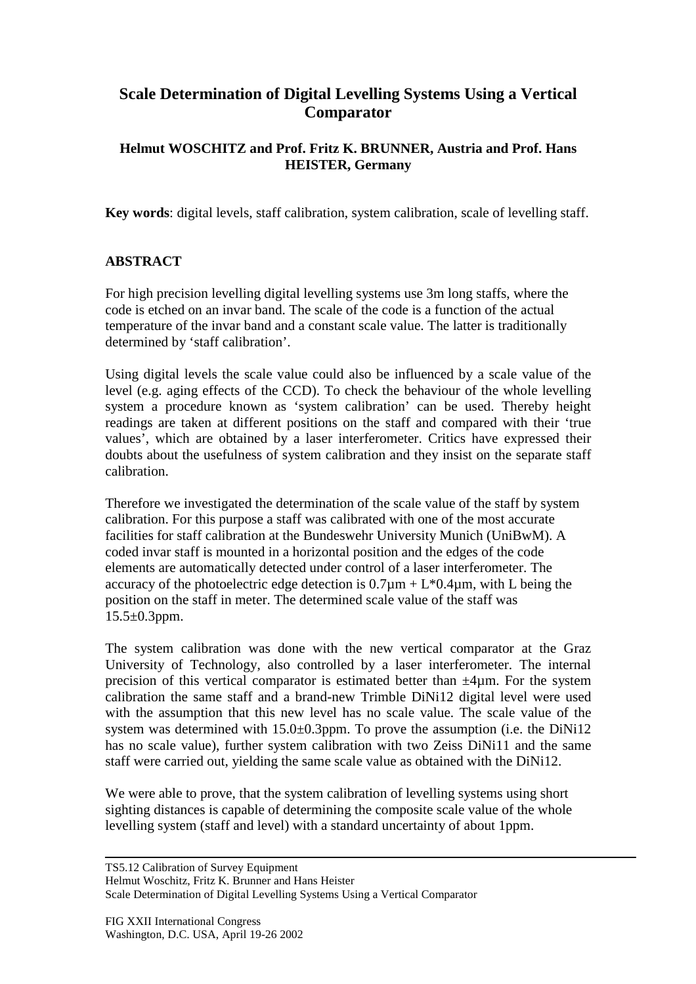## **Scale Determination of Digital Levelling Systems Using a Vertical Comparator**

## **Helmut WOSCHITZ and Prof. Fritz K. BRUNNER, Austria and Prof. Hans HEISTER, Germany**

**Key words**: digital levels, staff calibration, system calibration, scale of levelling staff.

## **ABSTRACT**

For high precision levelling digital levelling systems use 3m long staffs, where the code is etched on an invar band. The scale of the code is a function of the actual temperature of the invar band and a constant scale value. The latter is traditionally determined by 'staff calibration'.

Using digital levels the scale value could also be influenced by a scale value of the level (e.g. aging effects of the CCD). To check the behaviour of the whole levelling system a procedure known as 'system calibration' can be used. Thereby height readings are taken at different positions on the staff and compared with their 'true values', which are obtained by a laser interferometer. Critics have expressed their doubts about the usefulness of system calibration and they insist on the separate staff calibration.

Therefore we investigated the determination of the scale value of the staff by system calibration. For this purpose a staff was calibrated with one of the most accurate facilities for staff calibration at the Bundeswehr University Munich (UniBwM). A coded invar staff is mounted in a horizontal position and the edges of the code elements are automatically detected under control of a laser interferometer. The accuracy of the photoelectric edge detection is  $0.7\mu$ m + L\*0.4 $\mu$ m, with L being the position on the staff in meter. The determined scale value of the staff was  $15.5 \pm 0.3$ ppm.

The system calibration was done with the new vertical comparator at the Graz University of Technology, also controlled by a laser interferometer. The internal precision of this vertical comparator is estimated better than  $\pm 4\mu$ m. For the system calibration the same staff and a brand-new Trimble DiNi12 digital level were used with the assumption that this new level has no scale value. The scale value of the system was determined with 15.0±0.3ppm. To prove the assumption (i.e. the DiNi12 has no scale value), further system calibration with two Zeiss DiNi11 and the same staff were carried out, yielding the same scale value as obtained with the DiNi12.

We were able to prove, that the system calibration of levelling systems using short sighting distances is capable of determining the composite scale value of the whole levelling system (staff and level) with a standard uncertainty of about 1ppm.